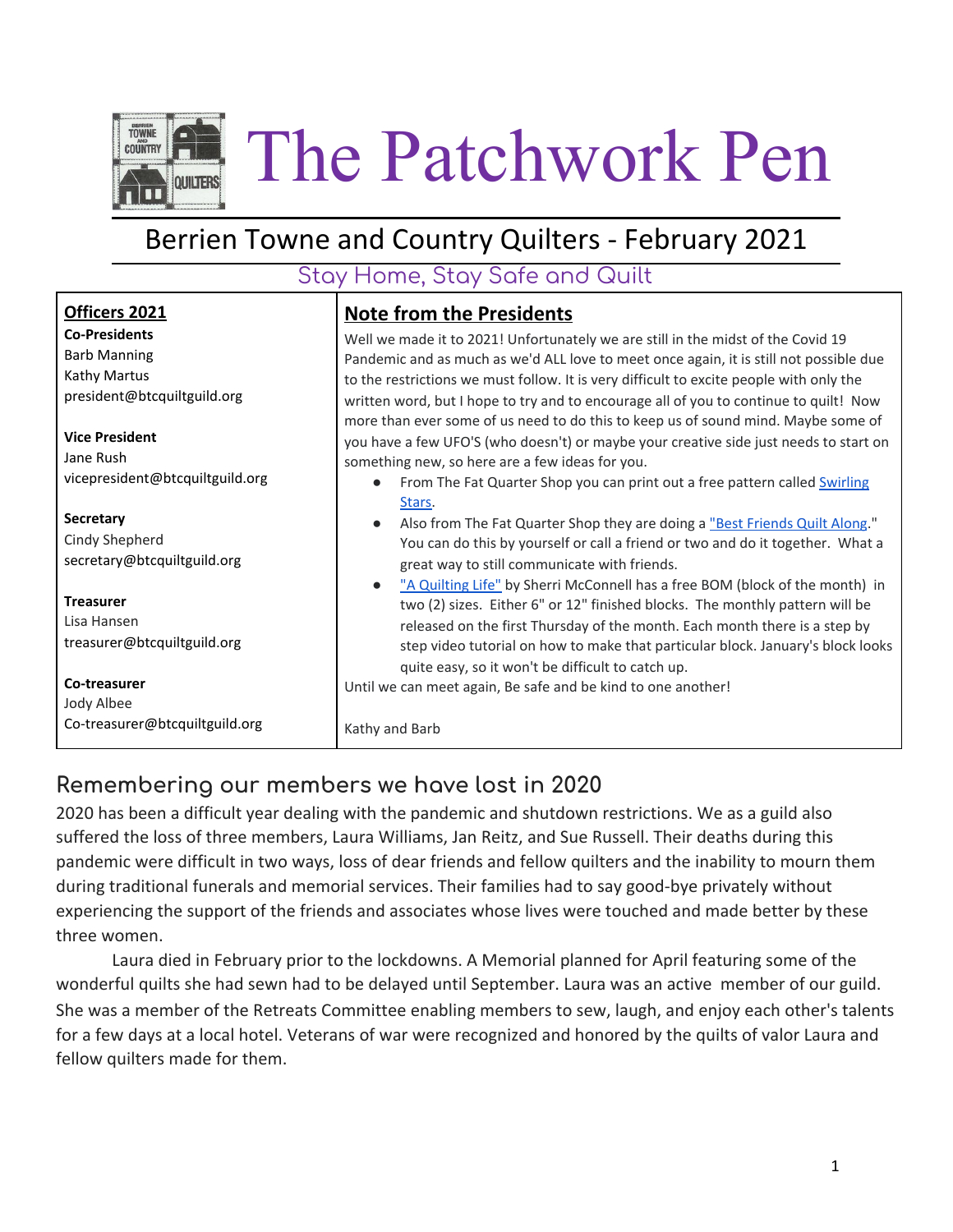

# Berrien Towne and Country Quilters - February 2021

### Stay Home, Stay Safe and Quilt

| Officers 2021                                                  | <b>Note from the Presidents</b>                                                                                                                                                                                                                                                                                                                                                                                                                                                                                                              |  |  |
|----------------------------------------------------------------|----------------------------------------------------------------------------------------------------------------------------------------------------------------------------------------------------------------------------------------------------------------------------------------------------------------------------------------------------------------------------------------------------------------------------------------------------------------------------------------------------------------------------------------------|--|--|
| <b>Co-Presidents</b><br><b>Barb Manning</b><br>Kathy Martus    | Well we made it to 2021! Unfortunately we are still in the midst of the Covid 19<br>Pandemic and as much as we'd ALL love to meet once again, it is still not possible due<br>to the restrictions we must follow. It is very difficult to excite people with only the<br>written word, but I hope to try and to encourage all of you to continue to quilt! Now<br>more than ever some of us need to do this to keep us of sound mind. Maybe some of<br>you have a few UFO'S (who doesn't) or maybe your creative side just needs to start on |  |  |
| president@btcquiltguild.org<br><b>Vice President</b>           |                                                                                                                                                                                                                                                                                                                                                                                                                                                                                                                                              |  |  |
| Jane Rush<br>vicepresident@btcquiltguild.org                   | something new, so here are a few ideas for you.<br>From The Fat Quarter Shop you can print out a free pattern called Swirling<br>$\bullet$                                                                                                                                                                                                                                                                                                                                                                                                   |  |  |
| Secretary<br>Cindy Shepherd<br>secretary@btcquiltguild.org     | Stars.<br>Also from The Fat Quarter Shop they are doing a "Best Friends Quilt Along."<br>$\bullet$<br>You can do this by yourself or call a friend or two and do it together. What a<br>great way to still communicate with friends.                                                                                                                                                                                                                                                                                                         |  |  |
| <b>Treasurer</b><br>Lisa Hansen<br>treasurer@btcquiltguild.org | "A Quilting Life" by Sherri McConnell has a free BOM (block of the month) in<br>$\bullet$<br>two (2) sizes. Either 6" or 12" finished blocks. The monthly pattern will be<br>released on the first Thursday of the month. Each month there is a step by<br>step video tutorial on how to make that particular block. January's block looks<br>quite easy, so it won't be difficult to catch up.                                                                                                                                              |  |  |
| Co-treasurer<br>Jody Albee<br>Co-treasurer@btcquiltguild.org   | Until we can meet again, Be safe and be kind to one another!<br>Kathy and Barb                                                                                                                                                                                                                                                                                                                                                                                                                                                               |  |  |

### **Remembering our members we have lost in 2020**

2020 has been a difficult year dealing with the pandemic and shutdown restrictions. We as a guild also suffered the loss of three members, Laura Williams, Jan Reitz, and Sue Russell. Their deaths during this pandemic were difficult in two ways, loss of dear friends and fellow quilters and the inability to mourn them during traditional funerals and memorial services. Their families had to say good-bye privately without experiencing the support of the friends and associates whose lives were touched and made better by these three women.

Laura died in February prior to the lockdowns. A Memorial planned for April featuring some of the wonderful quilts she had sewn had to be delayed until September. Laura was an active member of our guild. She was a member of the Retreats Committee enabling members to sew, laugh, and enjoy each other's talents for a few days at a local hotel. Veterans of war were recognized and honored by the quilts of valor Laura and fellow quilters made for them.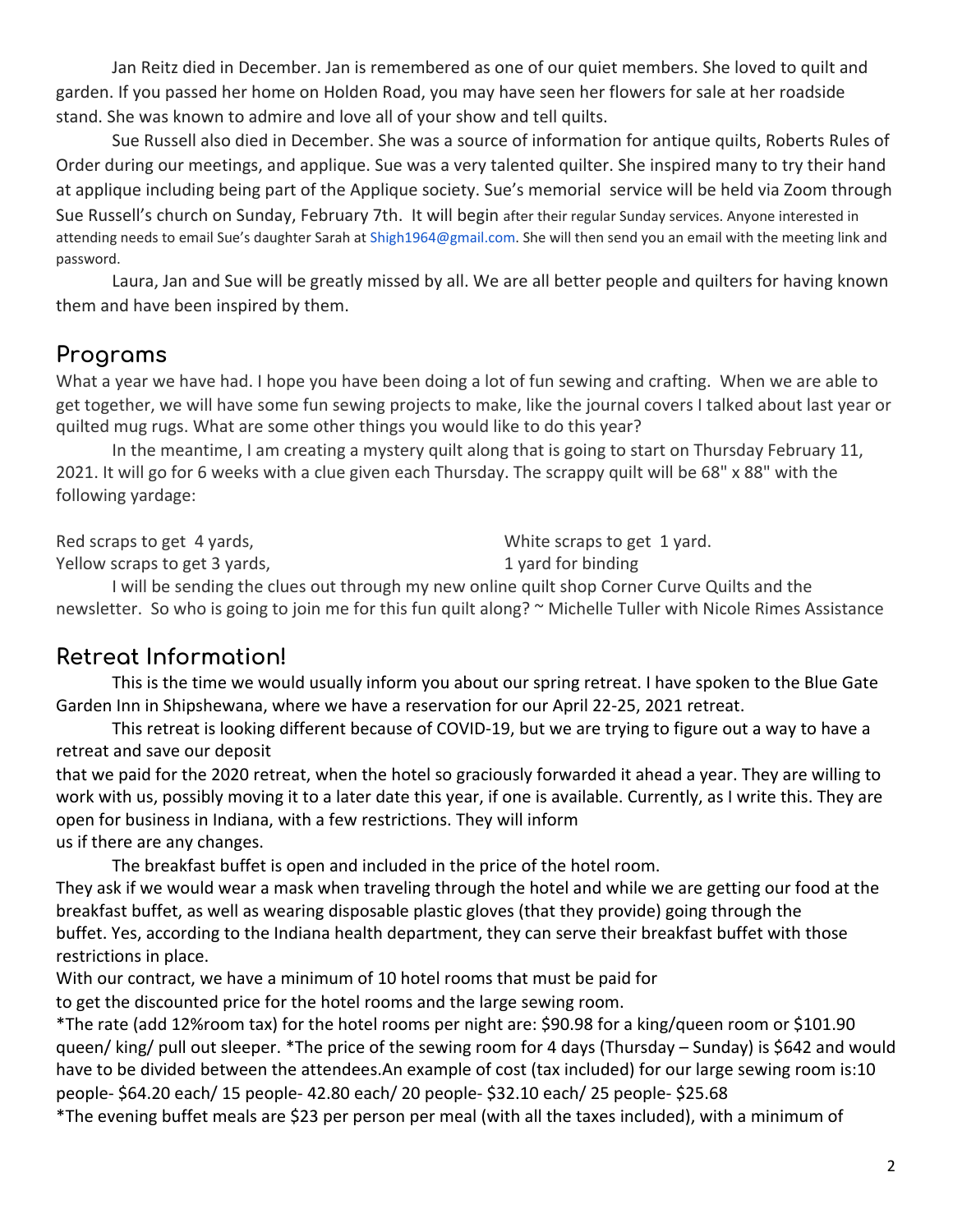Jan Reitz died in December. Jan is remembered as one of our quiet members. She loved to quilt and garden. If you passed her home on Holden Road, you may have seen her flowers for sale at her roadside stand. She was known to admire and love all of your show and tell quilts.

Sue Russell also died in December. She was a source of information for antique quilts, Roberts Rules of Order during our meetings, and applique. Sue was a very talented quilter. She inspired many to try their hand at applique including being part of the Applique society. Sue's memorial service will be held via Zoom through Sue Russell's church on Sunday, February 7th. It will begin after their regular Sunday services. Anyone interested in attending needs to email Sue's daughter Sarah at Shigh1964@gmail.com. She will then send you an email with the meeting link and password.

Laura, Jan and Sue will be greatly missed by all. We are all better people and quilters for having known them and have been inspired by them.

#### **Programs**

What a year we have had. I hope you have been doing a lot of fun sewing and crafting. When we are able to get together, we will have some fun sewing projects to make, like the journal covers I talked about last year or quilted mug rugs. What are some other things you would like to do this year?

In the meantime, I am creating a mystery quilt along that is going to start on Thursday February 11, 2021. It will go for 6 weeks with a clue given each Thursday. The scrappy quilt will be 68" x 88" with the following yardage:

Red scraps to get 4 yards, Yellow scraps to get 3 yards, White scraps to get 1 yard. 1 yard for binding

I will be sending the clues out through my new online quilt shop Corner Curve Quilts and the newsletter. So who is going to join me for this fun quilt along? ~ Michelle Tuller with Nicole Rimes Assistance

#### **Retreat Information!**

This is the time we would usually inform you about our spring retreat. I have spoken to the Blue Gate Garden Inn in Shipshewana, where we have a reservation for our April 22-25, 2021 retreat.

This retreat is looking different because of COVID-19, but we are trying to figure out a way to have a retreat and save our deposit

that we paid for the 2020 retreat, when the hotel so graciously forwarded it ahead a year. They are willing to work with us, possibly moving it to a later date this year, if one is available. Currently, as I write this. They are open for business in Indiana, with a few restrictions. They will inform us if there are any changes.

The breakfast buffet is open and included in the price of the hotel room.

They ask if we would wear a mask when traveling through the hotel and while we are getting our food at the breakfast buffet, as well as wearing disposable plastic gloves (that they provide) going through the buffet. Yes, according to the Indiana health department, they can serve their breakfast buffet with those restrictions in place.

With our contract, we have a minimum of 10 hotel rooms that must be paid for

to get the discounted price for the hotel rooms and the large sewing room.

\*The rate (add 12%room tax) for the hotel rooms per night are: \$90.98 for a king/queen room or \$101.90 queen/ king/ pull out sleeper. \*The price of the sewing room for 4 days (Thursday – Sunday) is \$642 and would have to be divided between the attendees.An example of cost (tax included) for our large sewing room is:10 people- \$64.20 each/ 15 people- 42.80 each/ 20 people- \$32.10 each/ 25 people- \$25.68

\*The evening buffet meals are \$23 per person per meal (with all the taxes included), with a minimum of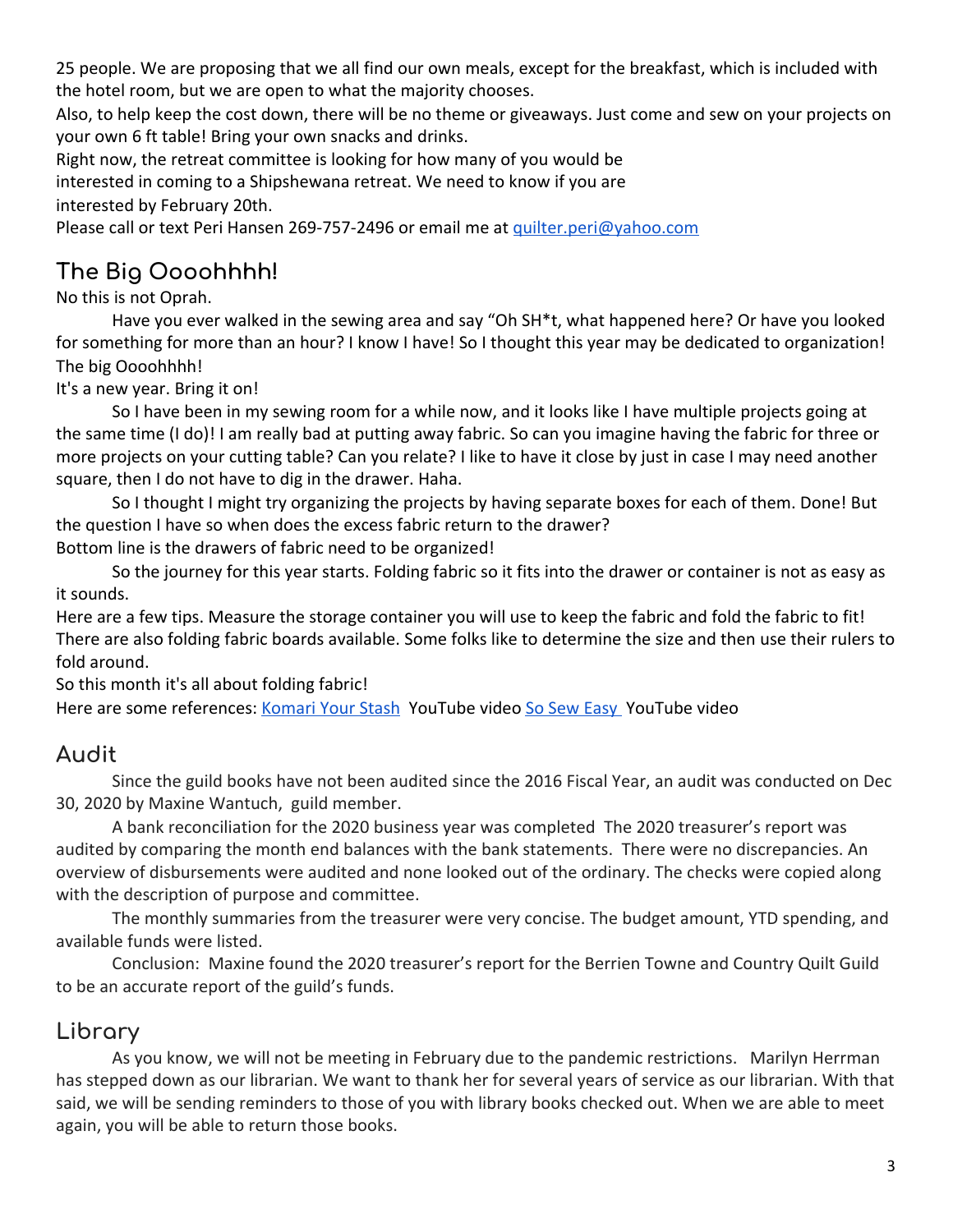25 people. We are proposing that we all find our own meals, except for the breakfast, which is included with the hotel room, but we are open to what the majority chooses.

Also, to help keep the cost down, there will be no theme or giveaways. Just come and sew on your projects on your own 6 ft table! Bring your own snacks and drinks.

Right now, the retreat committee is looking for how many of you would be interested in coming to a Shipshewana retreat. We need to know if you are interested by February 20th.

Please call or text Peri Hansen 269-757-2496 or email me at [quilter.peri@yahoo.com](mailto:quilter.peri@yahoo.com)

## **The Big Oooohhhh!**

No this is not Oprah.

Have you ever walked in the sewing area and say "Oh SH\*t, what happened here? Or have you looked for something for more than an hour? I know I have! So I thought this year may be dedicated to organization! The big Oooohhhh!

It's a new year. Bring it on!

So I have been in my sewing room for a while now, and it looks like I have multiple projects going at the same time (I do)! I am really bad at putting away fabric. So can you imagine having the fabric for three or more projects on your cutting table? Can you relate? I like to have it close by just in case I may need another square, then I do not have to dig in the drawer. Haha.

So I thought I might try organizing the projects by having separate boxes for each of them. Done! But the question I have so when does the excess fabric return to the drawer? Bottom line is the drawers of fabric need to be organized!

So the journey for this year starts. Folding fabric so it fits into the drawer or container is not as easy as it sounds.

Here are a few tips. Measure the storage container you will use to keep the fabric and fold the fabric to fit! There are also folding fabric boards available. Some folks like to determine the size and then use their rulers to fold around.

So this month it's all about folding fabric!

Here are some references: [Komari Your Stash](https://www.youtube.com/watch?v=TnHqmf--SZg) YouTube video [So Sew Easy](https://www.youtube.com/watch?v=B6luezV9Mq8) YouTube video

#### **Audit**

Since the guild books have not been audited since the 2016 Fiscal Year, an audit was conducted on Dec 30, 2020 by Maxine Wantuch, guild member.

A bank reconciliation for the 2020 business year was completed The 2020 treasurer's report was audited by comparing the month end balances with the bank statements. There were no discrepancies. An overview of disbursements were audited and none looked out of the ordinary. The checks were copied along with the description of purpose and committee.

The monthly summaries from the treasurer were very concise. The budget amount, YTD spending, and available funds were listed.

Conclusion: Maxine found the 2020 treasurer's report for the Berrien Towne and Country Quilt Guild to be an accurate report of the guild's funds.

### **Library**

As you know, we will not be meeting in February due to the pandemic restrictions. Marilyn Herrman has stepped down as our librarian. We want to thank her for several years of service as our librarian. With that said, we will be sending reminders to those of you with library books checked out. When we are able to meet again, you will be able to return those books.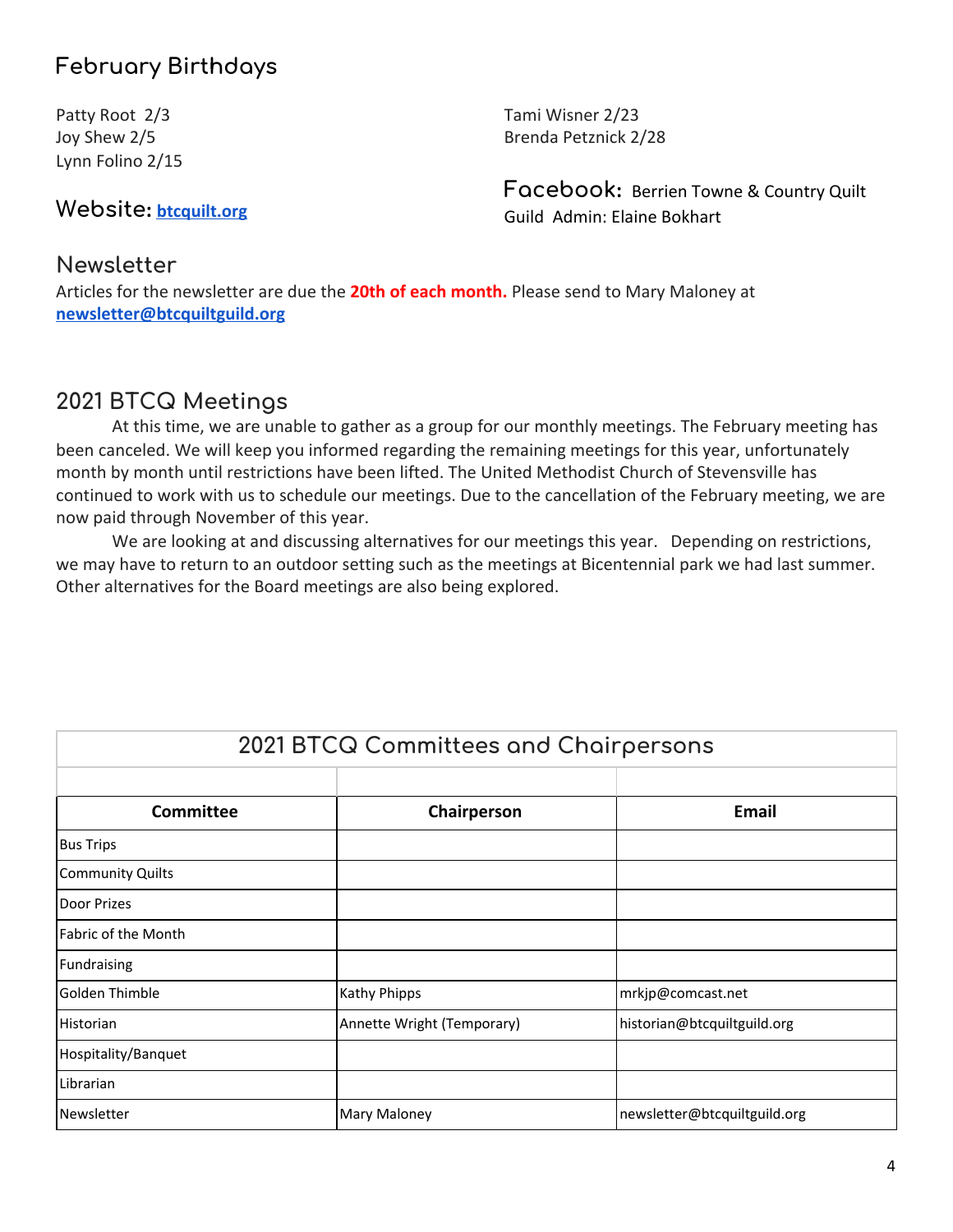## **February Birthdays**

Patty Root 2/3 Joy Shew 2/5 Lynn Folino 2/15

**Website: [btcquilt.org](http://btcquiltguild.org/)**

Tami Wisner 2/23 Brenda Petznick 2/28

**Facebook:** Berrien Towne & Country Quilt Guild Admin: Elaine Bokhart

#### **Newsletter**

Articles for the newsletter are due the **20th of each month.** Please send to Mary Maloney at **[newsletter@btcquiltguild.org](mailto:newsletter@btcquiltguild.org)**

### **2021 BTCQ Meetings**

At this time, we are unable to gather as a group for our monthly meetings. The February meeting has been canceled. We will keep you informed regarding the remaining meetings for this year, unfortunately month by month until restrictions have been lifted. The United Methodist Church of Stevensville has continued to work with us to schedule our meetings. Due to the cancellation of the February meeting, we are now paid through November of this year.

We are looking at and discussing alternatives for our meetings this year. Depending on restrictions, we may have to return to an outdoor setting such as the meetings at Bicentennial park we had last summer. Other alternatives for the Board meetings are also being explored.

| <b>Committee</b>           | Chairperson                | <b>Email</b>                 |
|----------------------------|----------------------------|------------------------------|
| <b>Bus Trips</b>           |                            |                              |
| <b>Community Quilts</b>    |                            |                              |
| Door Prizes                |                            |                              |
| <b>Fabric of the Month</b> |                            |                              |
| Fundraising                |                            |                              |
| Golden Thimble             | <b>Kathy Phipps</b>        | mrkjp@comcast.net            |
| Historian                  | Annette Wright (Temporary) | historian@btcquiltguild.org  |
| Hospitality/Banquet        |                            |                              |
| Librarian                  |                            |                              |
| Newsletter                 | <b>Mary Maloney</b>        | newsletter@btcquiltguild.org |

**2021 BTCQ Committees and Chairpersons**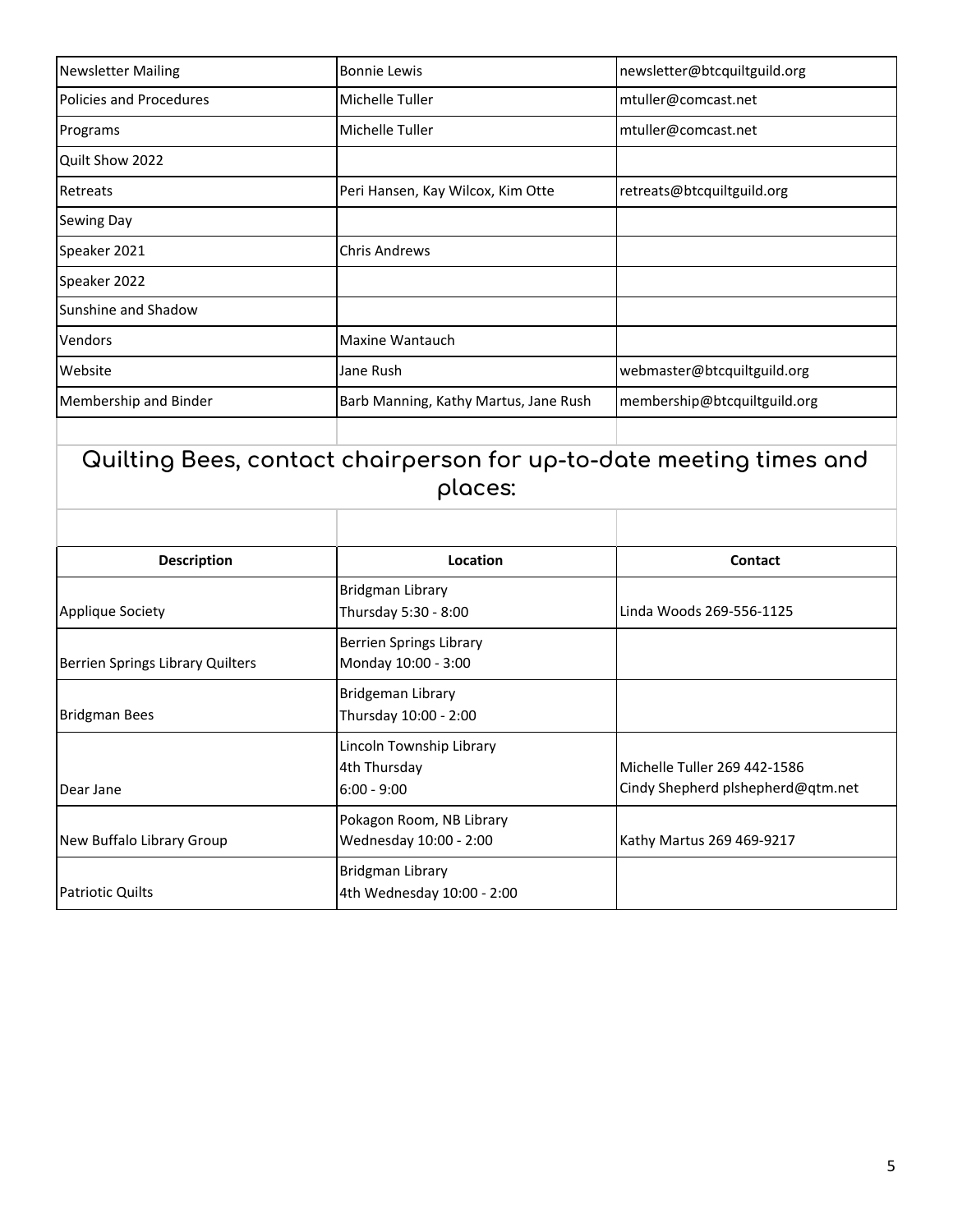| <b>Newsletter Mailing</b>      | <b>Bonnie Lewis</b>                   | newsletter@btcquiltguild.org |
|--------------------------------|---------------------------------------|------------------------------|
| <b>Policies and Procedures</b> | Michelle Tuller                       | mtuller@comcast.net          |
| Programs                       | Michelle Tuller                       | mtuller@comcast.net          |
| Quilt Show 2022                |                                       |                              |
| Retreats                       | Peri Hansen, Kay Wilcox, Kim Otte     | retreats@btcquiltguild.org   |
| <b>Sewing Day</b>              |                                       |                              |
| Speaker 2021                   | <b>Chris Andrews</b>                  |                              |
| Speaker 2022                   |                                       |                              |
| Sunshine and Shadow            |                                       |                              |
| Vendors                        | Maxine Wantauch                       |                              |
| Website                        | Jane Rush                             | webmaster@btcquiltguild.org  |
| Membership and Binder          | Barb Manning, Kathy Martus, Jane Rush | membership@btcquiltguild.org |
|                                |                                       |                              |

## **Quilting Bees, contact chairperson for up-to-date meeting times and places:**

| <b>Description</b>               | Location                                                  | <b>Contact</b>                                                    |
|----------------------------------|-----------------------------------------------------------|-------------------------------------------------------------------|
| Applique Society                 | Bridgman Library<br>Thursday 5:30 - 8:00                  | Linda Woods 269-556-1125                                          |
| Berrien Springs Library Quilters | <b>Berrien Springs Library</b><br>Monday 10:00 - 3:00     |                                                                   |
| <b>Bridgman Bees</b>             | <b>Bridgeman Library</b><br>Thursday 10:00 - 2:00         |                                                                   |
| Dear Jane                        | Lincoln Township Library<br>4th Thursday<br>$6:00 - 9:00$ | Michelle Tuller 269 442-1586<br>Cindy Shepherd plshepherd@qtm.net |
| New Buffalo Library Group        | Pokagon Room, NB Library<br>Wednesday 10:00 - 2:00        | Kathy Martus 269 469-9217                                         |
| <b>Patriotic Quilts</b>          | <b>Bridgman Library</b><br>4th Wednesday 10:00 - 2:00     |                                                                   |